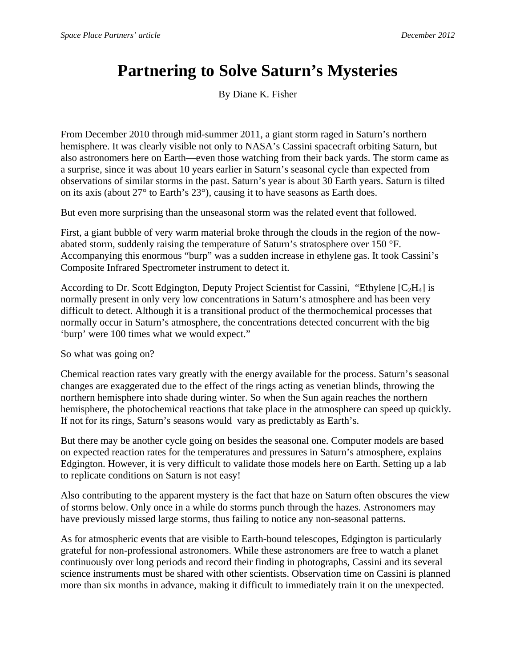## **Partnering to Solve Saturn's Mysteries**

By Diane K. Fisher

From December 2010 through mid-summer 2011, a giant storm raged in Saturn's northern hemisphere. It was clearly visible not only to NASA's Cassini spacecraft orbiting Saturn, but also astronomers here on Earth—even those watching from their back yards. The storm came as a surprise, since it was about 10 years earlier in Saturn's seasonal cycle than expected from observations of similar storms in the past. Saturn's year is about 30 Earth years. Saturn is tilted on its axis (about 27° to Earth's 23°), causing it to have seasons as Earth does.

But even more surprising than the unseasonal storm was the related event that followed.

First, a giant bubble of very warm material broke through the clouds in the region of the nowabated storm, suddenly raising the temperature of Saturn's stratosphere over 150 °F. Accompanying this enormous "burp" was a sudden increase in ethylene gas. It took Cassini's Composite Infrared Spectrometer instrument to detect it.

According to Dr. Scott Edgington, Deputy Project Scientist for Cassini, "Ethylene  $[C_2H_4]$  is normally present in only very low concentrations in Saturn's atmosphere and has been very difficult to detect. Although it is a transitional product of the thermochemical processes that normally occur in Saturn's atmosphere, the concentrations detected concurrent with the big 'burp' were 100 times what we would expect."

So what was going on?

Chemical reaction rates vary greatly with the energy available for the process. Saturn's seasonal changes are exaggerated due to the effect of the rings acting as venetian blinds, throwing the northern hemisphere into shade during winter. So when the Sun again reaches the northern hemisphere, the photochemical reactions that take place in the atmosphere can speed up quickly. If not for its rings, Saturn's seasons would vary as predictably as Earth's.

But there may be another cycle going on besides the seasonal one. Computer models are based on expected reaction rates for the temperatures and pressures in Saturn's atmosphere, explains Edgington. However, it is very difficult to validate those models here on Earth. Setting up a lab to replicate conditions on Saturn is not easy!

Also contributing to the apparent mystery is the fact that haze on Saturn often obscures the view of storms below. Only once in a while do storms punch through the hazes. Astronomers may have previously missed large storms, thus failing to notice any non-seasonal patterns.

As for atmospheric events that are visible to Earth-bound telescopes, Edgington is particularly grateful for non-professional astronomers. While these astronomers are free to watch a planet continuously over long periods and record their finding in photographs, Cassini and its several science instruments must be shared with other scientists. Observation time on Cassini is planned more than six months in advance, making it difficult to immediately train it on the unexpected.